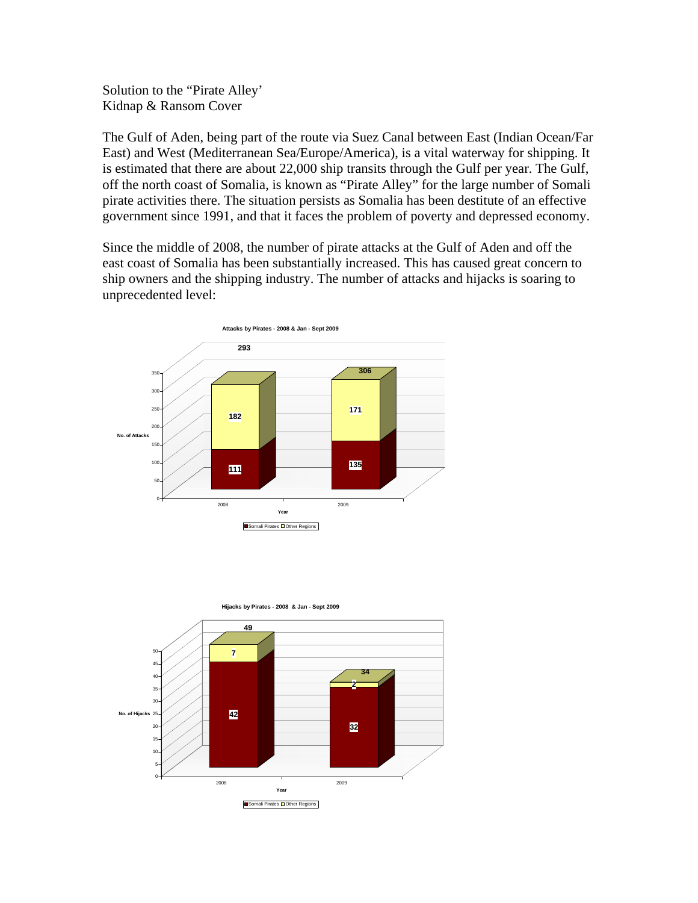Solution to the "Pirate Alley' Kidnap & Ransom Cover

The Gulf of Aden, being part of the route via Suez Canal between East (Indian Ocean/Far East) and West (Mediterranean Sea/Europe/America), is a vital waterway for shipping. It is estimated that there are about 22,000 ship transits through the Gulf per year. The Gulf, off the north coast of Somalia, is known as "Pirate Alley" for the large number of Somali pirate activities there. The situation persists as Somalia has been destitute of an effective government since 1991, and that it faces the problem of poverty and depressed economy.

Since the middle of 2008, the number of pirate attacks at the Gulf of Aden and off the east coast of Somalia has been substantially increased. This has caused great concern to ship owners and the shipping industry. The number of attacks and hijacks is soaring to unprecedented level:



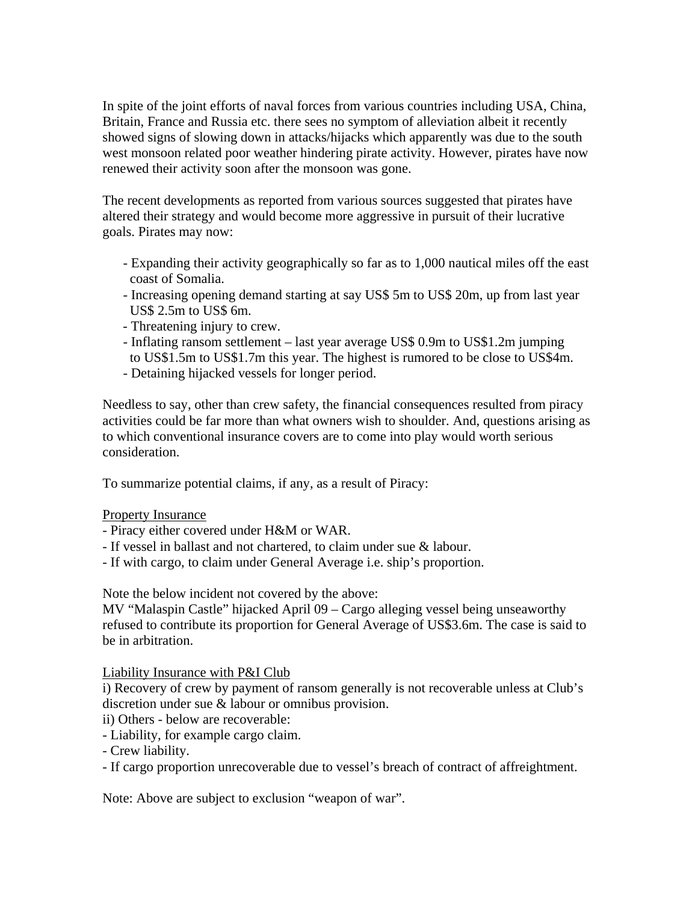In spite of the joint efforts of naval forces from various countries including USA, China, Britain, France and Russia etc. there sees no symptom of alleviation albeit it recently showed signs of slowing down in attacks/hijacks which apparently was due to the south west monsoon related poor weather hindering pirate activity. However, pirates have now renewed their activity soon after the monsoon was gone.

The recent developments as reported from various sources suggested that pirates have altered their strategy and would become more aggressive in pursuit of their lucrative goals. Pirates may now:

- Expanding their activity geographically so far as to 1,000 nautical miles off the east coast of Somalia.
- Increasing opening demand starting at say US\$ 5m to US\$ 20m, up from last year US\$ 2.5m to US\$ 6m.
- Threatening injury to crew.
- Inflating ransom settlement last year average US\$ 0.9m to US\$1.2m jumping to US\$1.5m to US\$1.7m this year. The highest is rumored to be close to US\$4m.
- Detaining hijacked vessels for longer period.

Needless to say, other than crew safety, the financial consequences resulted from piracy activities could be far more than what owners wish to shoulder. And, questions arising as to which conventional insurance covers are to come into play would worth serious consideration.

To summarize potential claims, if any, as a result of Piracy:

## Property Insurance

- Piracy either covered under H&M or WAR.
- If vessel in ballast and not chartered, to claim under sue & labour.
- If with cargo, to claim under General Average i.e. ship's proportion.

Note the below incident not covered by the above:

MV "Malaspin Castle" hijacked April 09 – Cargo alleging vessel being unseaworthy refused to contribute its proportion for General Average of US\$3.6m. The case is said to be in arbitration.

Liability Insurance with P&I Club

i) Recovery of crew by payment of ransom generally is not recoverable unless at Club's discretion under sue & labour or omnibus provision.

- ii) Others below are recoverable:
- Liability, for example cargo claim.

- Crew liability.

- If cargo proportion unrecoverable due to vessel's breach of contract of affreightment.

Note: Above are subject to exclusion "weapon of war".